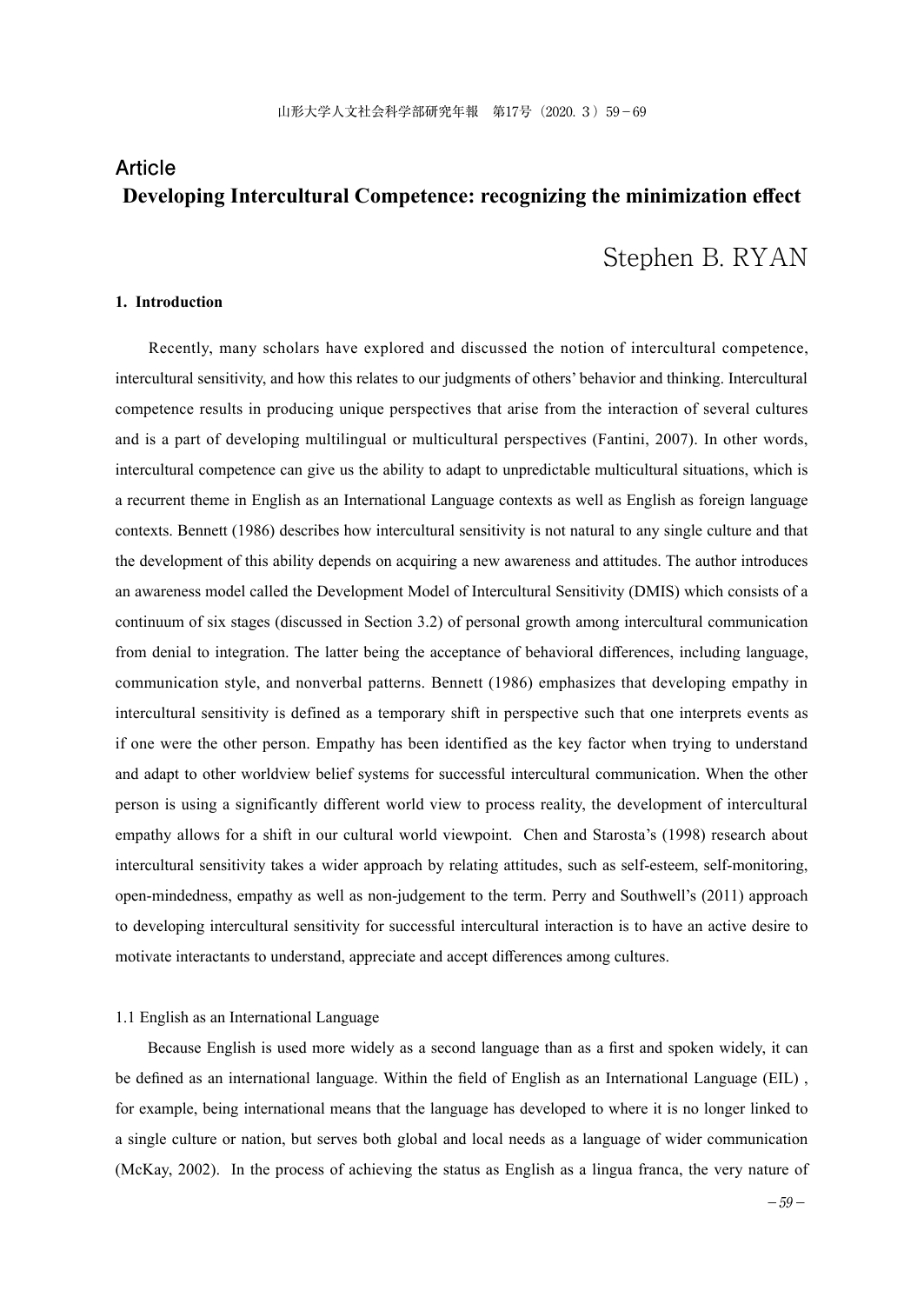# **Article Developing Intercultural Competence: recognizing the minimization effect**

# Stephen B. RYAN

## **1. Introduction**

 Recently, many scholars have explored and discussed the notion of intercultural competence, intercultural sensitivity, and how this relates to our judgments of others' behavior and thinking. Intercultural competence results in producing unique perspectives that arise from the interaction of several cultures and is a part of developing multilingual or multicultural perspectives (Fantini, 2007). In other words, intercultural competence can give us the ability to adapt to unpredictable multicultural situations, which is a recurrent theme in English as an International Language contexts as well as English as foreign language contexts. Bennett (1986) describes how intercultural sensitivity is not natural to any single culture and that the development of this ability depends on acquiring a new awareness and attitudes. The author introduces an awareness model called the Development Model of Intercultural Sensitivity (DMIS) which consists of a continuum of six stages (discussed in Section 3.2) of personal growth among intercultural communication from denial to integration. The latter being the acceptance of behavioral differences, including language, communication style, and nonverbal patterns. Bennett (1986) emphasizes that developing empathy in intercultural sensitivity is defined as a temporary shift in perspective such that one interprets events as if one were the other person. Empathy has been identified as the key factor when trying to understand and adapt to other worldview belief systems for successful intercultural communication. When the other person is using a significantly different world view to process reality, the development of intercultural empathy allows for a shift in our cultural world viewpoint. Chen and Starosta's (1998) research about intercultural sensitivity takes a wider approach by relating attitudes, such as self-esteem, self-monitoring, open-mindedness, empathy as well as non-judgement to the term. Perry and Southwell's (2011) approach to developing intercultural sensitivity for successful intercultural interaction is to have an active desire to motivate interactants to understand, appreciate and accept differences among cultures.

#### 1.1 English as an International Language

 Because English is used more widely as a second language than as a first and spoken widely, it can be defined as an international language. Within the field of English as an International Language (EIL) , for example, being international means that the language has developed to where it is no longer linked to a single culture or nation, but serves both global and local needs as a language of wider communication (McKay, 2002). In the process of achieving the status as English as a lingua franca, the very nature of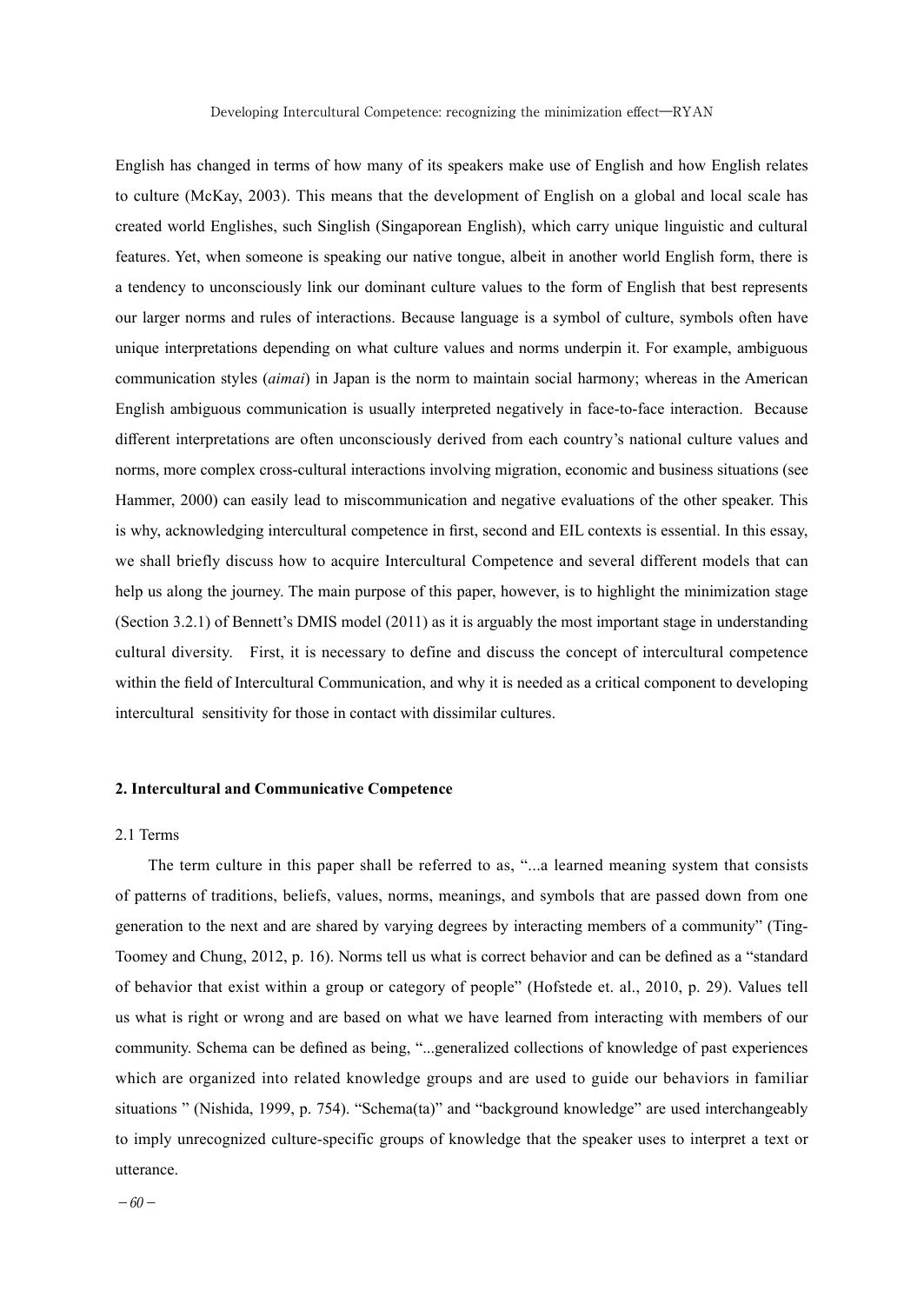English has changed in terms of how many of its speakers make use of English and how English relates to culture (McKay, 2003). This means that the development of English on a global and local scale has created world Englishes, such Singlish (Singaporean English), which carry unique linguistic and cultural features. Yet, when someone is speaking our native tongue, albeit in another world English form, there is a tendency to unconsciously link our dominant culture values to the form of English that best represents our larger norms and rules of interactions. Because language is a symbol of culture, symbols often have unique interpretations depending on what culture values and norms underpin it. For example, ambiguous communication styles (*aimai*) in Japan is the norm to maintain social harmony; whereas in the American English ambiguous communication is usually interpreted negatively in face-to-face interaction. Because different interpretations are often unconsciously derived from each country's national culture values and norms, more complex cross-cultural interactions involving migration, economic and business situations (see Hammer, 2000) can easily lead to miscommunication and negative evaluations of the other speaker. This is why, acknowledging intercultural competence in first, second and EIL contexts is essential. In this essay, we shall briefly discuss how to acquire Intercultural Competence and several different models that can help us along the journey. The main purpose of this paper, however, is to highlight the minimization stage (Section 3.2.1) of Bennett's DMIS model (2011) as it is arguably the most important stage in understanding cultural diversity. First, it is necessary to define and discuss the concept of intercultural competence within the field of Intercultural Communication, and why it is needed as a critical component to developing intercultural sensitivity for those in contact with dissimilar cultures.

## **2. Intercultural and Communicative Competence**

## 2.1 Terms

 The term culture in this paper shall be referred to as, "...a learned meaning system that consists of patterns of traditions, beliefs, values, norms, meanings, and symbols that are passed down from one generation to the next and are shared by varying degrees by interacting members of a community" (Ting-Toomey and Chung, 2012, p. 16). Norms tell us what is correct behavior and can be defined as a "standard of behavior that exist within a group or category of people" (Hofstede et. al., 2010, p. 29). Values tell us what is right or wrong and are based on what we have learned from interacting with members of our community. Schema can be defined as being, "...generalized collections of knowledge of past experiences which are organized into related knowledge groups and are used to guide our behaviors in familiar situations " (Nishida, 1999, p. 754). "Schema(ta)" and "background knowledge" are used interchangeably to imply unrecognized culture-specific groups of knowledge that the speaker uses to interpret a text or utterance.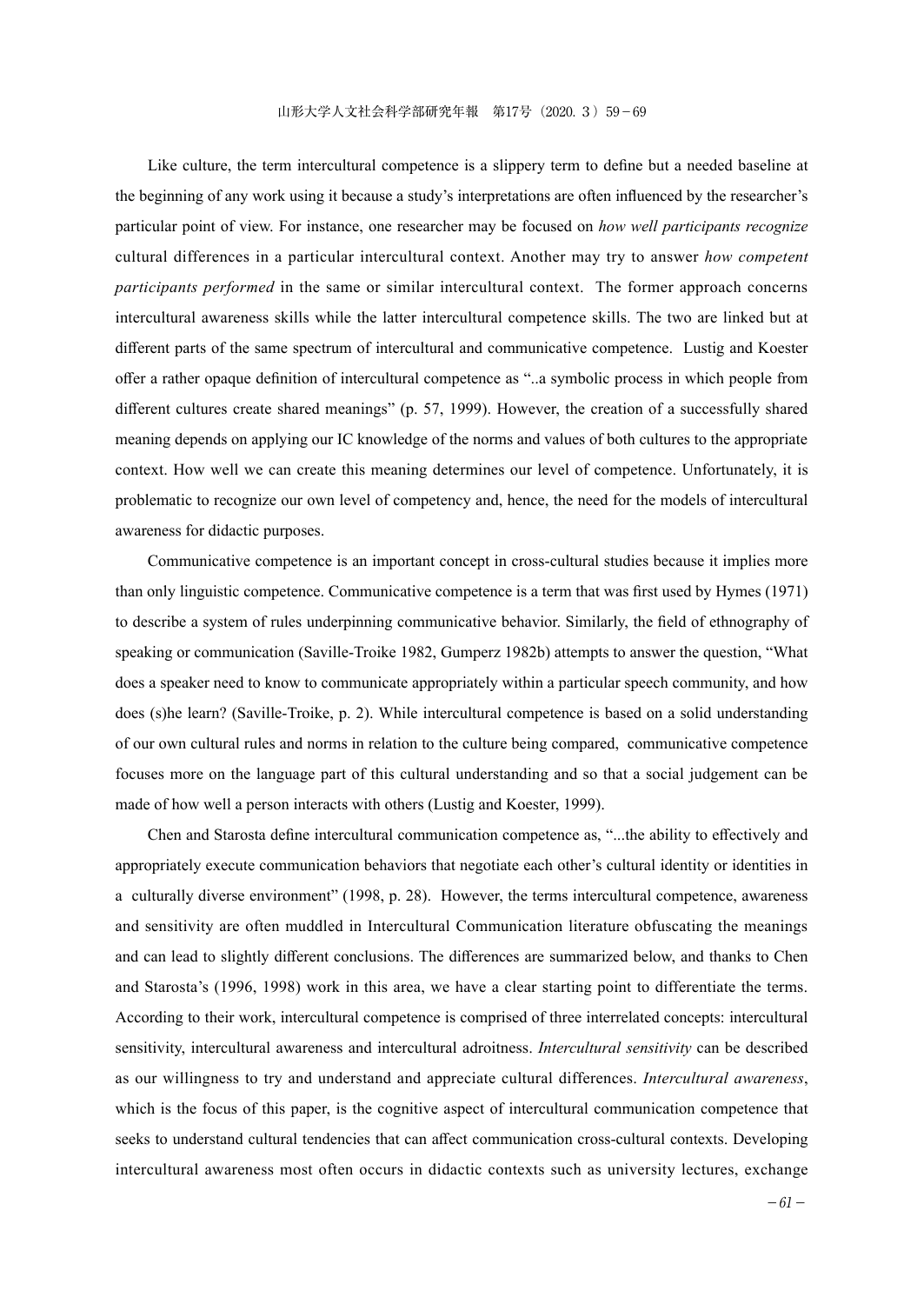Like culture, the term intercultural competence is a slippery term to define but a needed baseline at the beginning of any work using it because a study's interpretations are often influenced by the researcher's particular point of view. For instance, one researcher may be focused on *how well participants recognize* cultural differences in a particular intercultural context. Another may try to answer *how competent participants performed* in the same or similar intercultural context. The former approach concerns intercultural awareness skills while the latter intercultural competence skills. The two are linked but at different parts of the same spectrum of intercultural and communicative competence. Lustig and Koester offer a rather opaque definition of intercultural competence as "..a symbolic process in which people from different cultures create shared meanings" (p. 57, 1999). However, the creation of a successfully shared meaning depends on applying our IC knowledge of the norms and values of both cultures to the appropriate context. How well we can create this meaning determines our level of competence. Unfortunately, it is problematic to recognize our own level of competency and, hence, the need for the models of intercultural awareness for didactic purposes.

 Communicative competence is an important concept in cross-cultural studies because it implies more than only linguistic competence. Communicative competence is a term that was first used by Hymes (1971) to describe a system of rules underpinning communicative behavior. Similarly, the field of ethnography of speaking or communication (Saville-Troike 1982, Gumperz 1982b) attempts to answer the question, "What does a speaker need to know to communicate appropriately within a particular speech community, and how does (s)he learn? (Saville-Troike, p. 2). While intercultural competence is based on a solid understanding of our own cultural rules and norms in relation to the culture being compared, communicative competence focuses more on the language part of this cultural understanding and so that a social judgement can be made of how well a person interacts with others (Lustig and Koester, 1999).

 Chen and Starosta define intercultural communication competence as, "...the ability to effectively and appropriately execute communication behaviors that negotiate each other's cultural identity or identities in a culturally diverse environment" (1998, p. 28). However, the terms intercultural competence, awareness and sensitivity are often muddled in Intercultural Communication literature obfuscating the meanings and can lead to slightly different conclusions. The differences are summarized below, and thanks to Chen and Starosta's (1996, 1998) work in this area, we have a clear starting point to differentiate the terms. According to their work, intercultural competence is comprised of three interrelated concepts: intercultural sensitivity, intercultural awareness and intercultural adroitness. *Intercultural sensitivity* can be described as our willingness to try and understand and appreciate cultural differences. *Intercultural awareness*, which is the focus of this paper, is the cognitive aspect of intercultural communication competence that seeks to understand cultural tendencies that can affect communication cross-cultural contexts. Developing intercultural awareness most often occurs in didactic contexts such as university lectures, exchange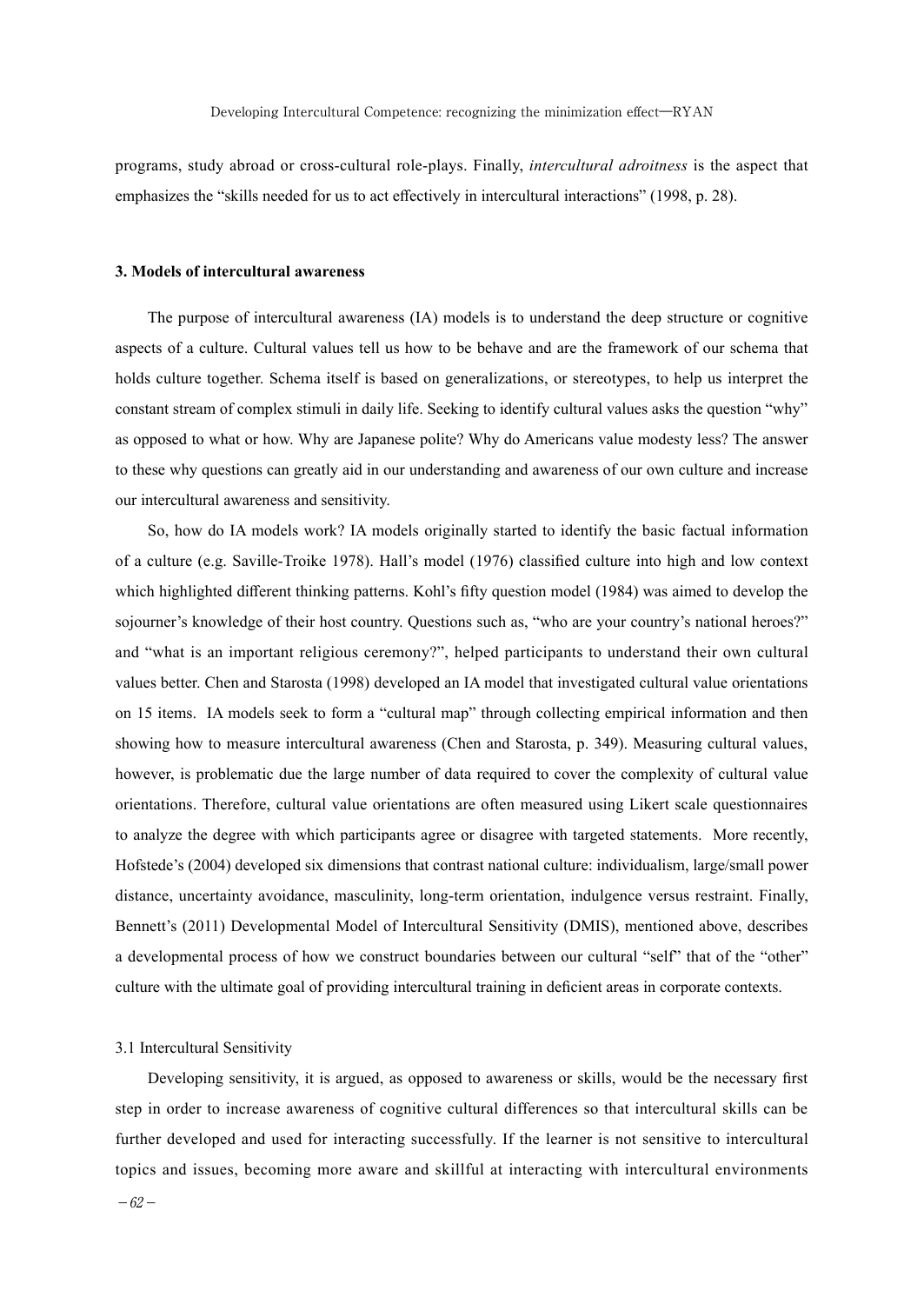programs, study abroad or cross-cultural role-plays. Finally, *intercultural adroitness* is the aspect that emphasizes the "skills needed for us to act effectively in intercultural interactions" (1998, p. 28).

### **3. Models of intercultural awareness**

 The purpose of intercultural awareness (IA) models is to understand the deep structure or cognitive aspects of a culture. Cultural values tell us how to be behave and are the framework of our schema that holds culture together. Schema itself is based on generalizations, or stereotypes, to help us interpret the constant stream of complex stimuli in daily life. Seeking to identify cultural values asks the question "why" as opposed to what or how. Why are Japanese polite? Why do Americans value modesty less? The answer to these why questions can greatly aid in our understanding and awareness of our own culture and increase our intercultural awareness and sensitivity.

 So, how do IA models work? IA models originally started to identify the basic factual information of a culture (e.g. Saville-Troike 1978). Hall's model (1976) classified culture into high and low context which highlighted different thinking patterns. Kohl's fifty question model (1984) was aimed to develop the sojourner's knowledge of their host country. Questions such as, "who are your country's national heroes?" and "what is an important religious ceremony?", helped participants to understand their own cultural values better. Chen and Starosta (1998) developed an IA model that investigated cultural value orientations on 15 items. IA models seek to form a "cultural map" through collecting empirical information and then showing how to measure intercultural awareness (Chen and Starosta, p. 349). Measuring cultural values, however, is problematic due the large number of data required to cover the complexity of cultural value orientations. Therefore, cultural value orientations are often measured using Likert scale questionnaires to analyze the degree with which participants agree or disagree with targeted statements. More recently, Hofstede's (2004) developed six dimensions that contrast national culture: individualism, large/small power distance, uncertainty avoidance, masculinity, long-term orientation, indulgence versus restraint. Finally, Bennett's (2011) Developmental Model of Intercultural Sensitivity (DMIS), mentioned above, describes a developmental process of how we construct boundaries between our cultural "self" that of the "other" culture with the ultimate goal of providing intercultural training in deficient areas in corporate contexts.

## 3.1 Intercultural Sensitivity

 Developing sensitivity, it is argued, as opposed to awareness or skills, would be the necessary first step in order to increase awareness of cognitive cultural differences so that intercultural skills can be further developed and used for interacting successfully. If the learner is not sensitive to intercultural topics and issues, becoming more aware and skillful at interacting with intercultural environments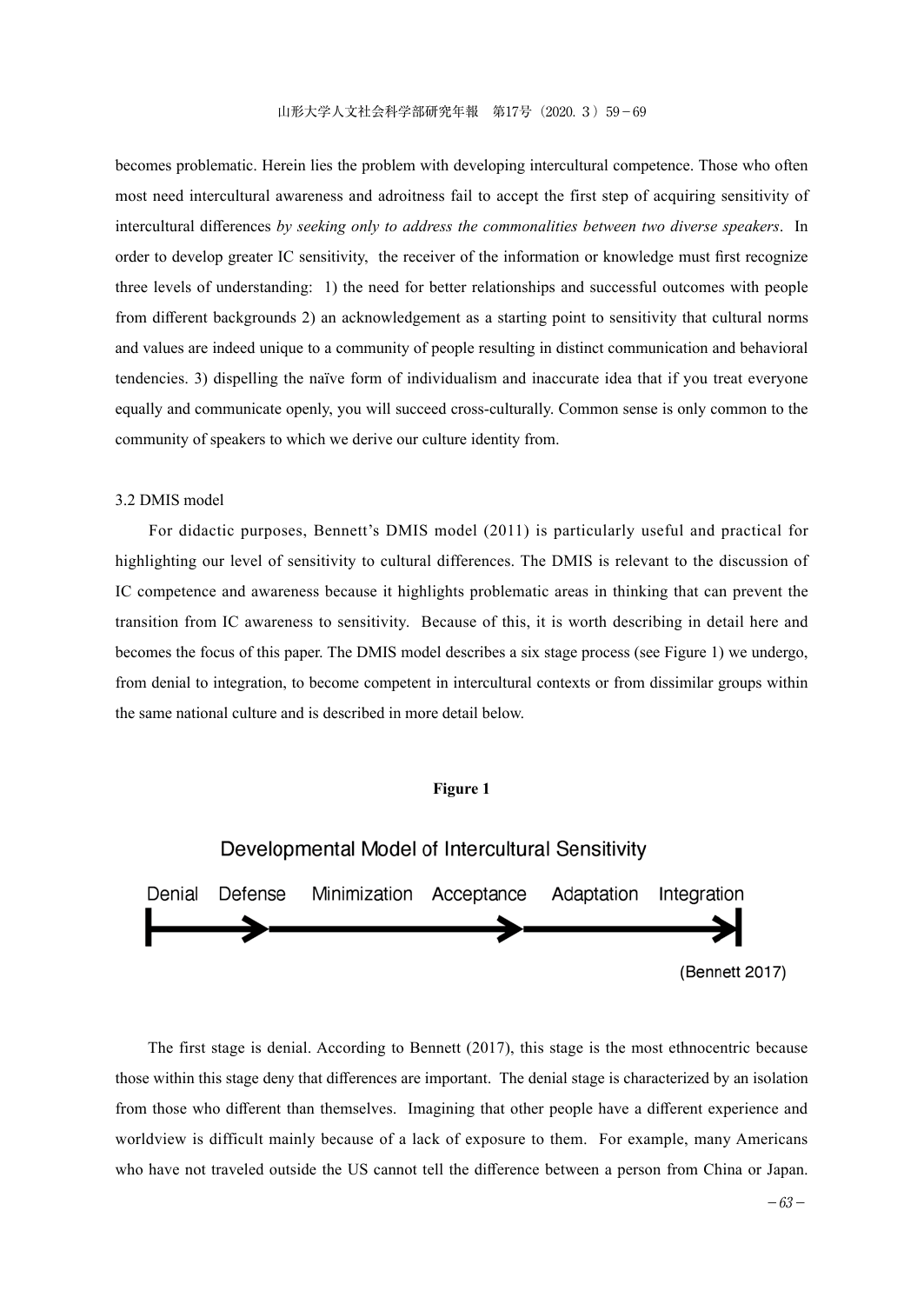becomes problematic. Herein lies the problem with developing intercultural competence. Those who often most need intercultural awareness and adroitness fail to accept the first step of acquiring sensitivity of intercultural differences *by seeking only to address the commonalities between two diverse speakers*. In order to develop greater IC sensitivity, the receiver of the information or knowledge must first recognize three levels of understanding: 1) the need for better relationships and successful outcomes with people from different backgrounds 2) an acknowledgement as a starting point to sensitivity that cultural norms and values are indeed unique to a community of people resulting in distinct communication and behavioral tendencies. 3) dispelling the naïve form of individualism and inaccurate idea that if you treat everyone equally and communicate openly, you will succeed cross-culturally. Common sense is only common to the community of speakers to which we derive our culture identity from.

## 3.2 DMIS model

 For didactic purposes, Bennett's DMIS model (2011) is particularly useful and practical for highlighting our level of sensitivity to cultural differences. The DMIS is relevant to the discussion of IC competence and awareness because it highlights problematic areas in thinking that can prevent the transition from IC awareness to sensitivity. Because of this, it is worth describing in detail here and becomes the focus of this paper. The DMIS model describes a six stage process (see Figure 1) we undergo, from denial to integration, to become competent in intercultural contexts or from dissimilar groups within the same national culture and is described in more detail below.

## **Figure 1**



 The first stage is denial. According to Bennett (2017), this stage is the most ethnocentric because those within this stage deny that differences are important. The denial stage is characterized by an isolation from those who different than themselves. Imagining that other people have a different experience and worldview is difficult mainly because of a lack of exposure to them. For example, many Americans who have not traveled outside the US cannot tell the difference between a person from China or Japan.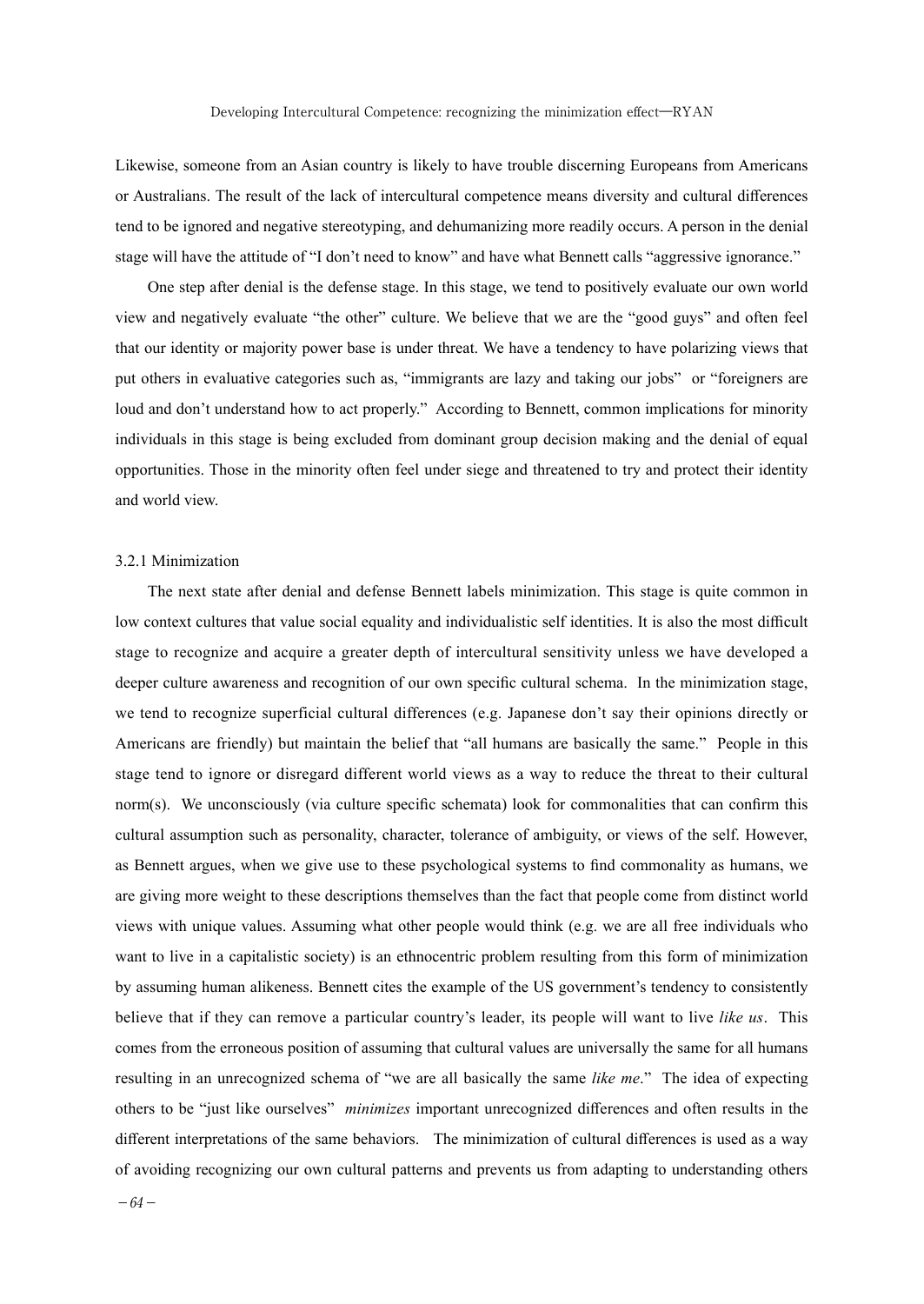Likewise, someone from an Asian country is likely to have trouble discerning Europeans from Americans or Australians. The result of the lack of intercultural competence means diversity and cultural differences tend to be ignored and negative stereotyping, and dehumanizing more readily occurs. A person in the denial stage will have the attitude of "I don't need to know" and have what Bennett calls "aggressive ignorance."

 One step after denial is the defense stage. In this stage, we tend to positively evaluate our own world view and negatively evaluate "the other" culture. We believe that we are the "good guys" and often feel that our identity or majority power base is under threat. We have a tendency to have polarizing views that put others in evaluative categories such as, "immigrants are lazy and taking our jobs" or "foreigners are loud and don't understand how to act properly." According to Bennett, common implications for minority individuals in this stage is being excluded from dominant group decision making and the denial of equal opportunities. Those in the minority often feel under siege and threatened to try and protect their identity and world view.

### 3.2.1 Minimization

 The next state after denial and defense Bennett labels minimization. This stage is quite common in low context cultures that value social equality and individualistic self identities. It is also the most difficult stage to recognize and acquire a greater depth of intercultural sensitivity unless we have developed a deeper culture awareness and recognition of our own specific cultural schema. In the minimization stage, we tend to recognize superficial cultural differences (e.g. Japanese don't say their opinions directly or Americans are friendly) but maintain the belief that "all humans are basically the same." People in this stage tend to ignore or disregard different world views as a way to reduce the threat to their cultural norm(s). We unconsciously (via culture specific schemata) look for commonalities that can confirm this cultural assumption such as personality, character, tolerance of ambiguity, or views of the self. However, as Bennett argues, when we give use to these psychological systems to find commonality as humans, we are giving more weight to these descriptions themselves than the fact that people come from distinct world views with unique values. Assuming what other people would think (e.g. we are all free individuals who want to live in a capitalistic society) is an ethnocentric problem resulting from this form of minimization by assuming human alikeness. Bennett cites the example of the US government's tendency to consistently believe that if they can remove a particular country's leader, its people will want to live *like us*. This comes from the erroneous position of assuming that cultural values are universally the same for all humans resulting in an unrecognized schema of "we are all basically the same *like me*." The idea of expecting others to be "just like ourselves" *minimizes* important unrecognized differences and often results in the different interpretations of the same behaviors. The minimization of cultural differences is used as a way of avoiding recognizing our own cultural patterns and prevents us from adapting to understanding others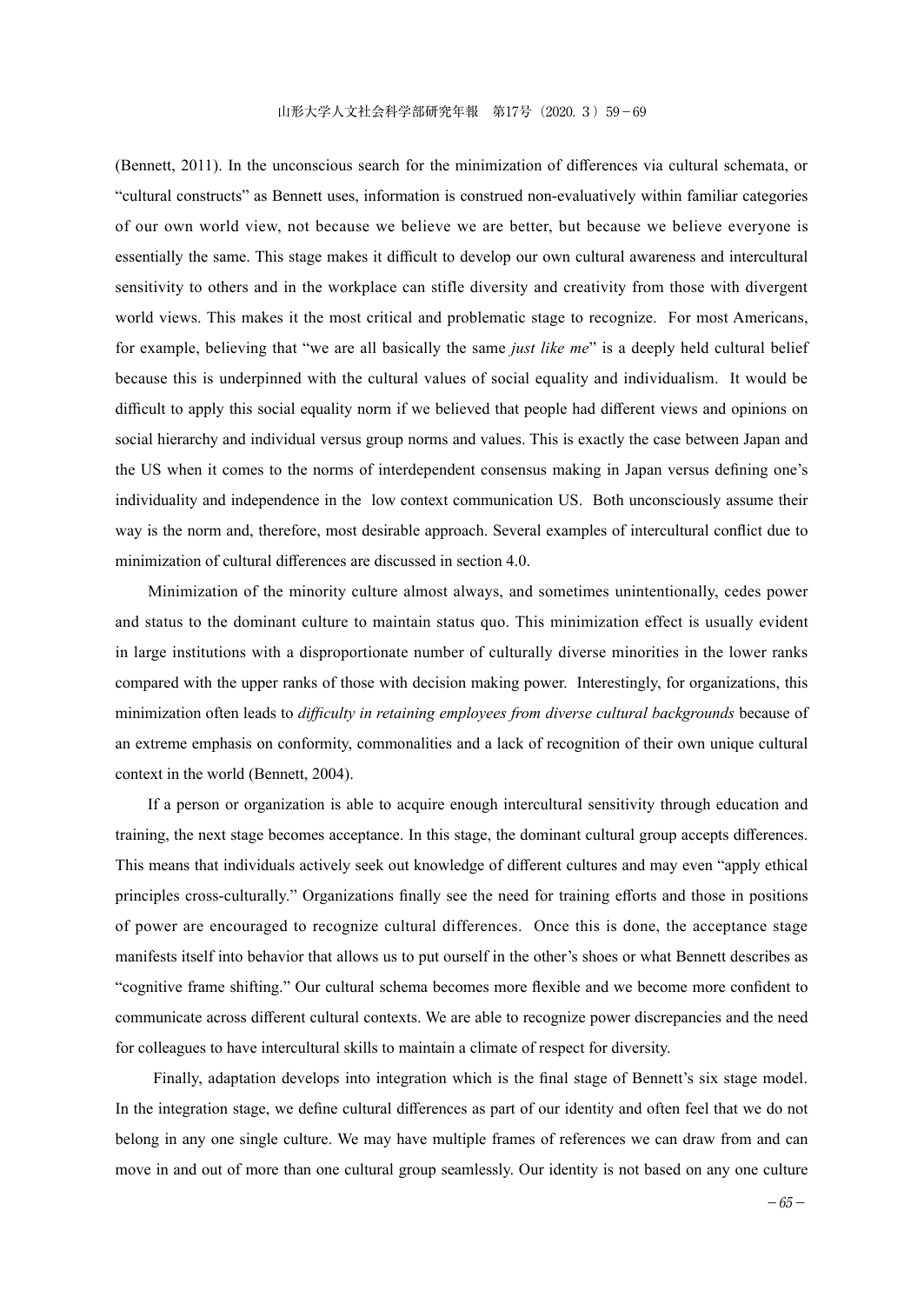(Bennett, 2011). In the unconscious search for the minimization of differences via cultural schemata, or "cultural constructs" as Bennett uses, information is construed non-evaluatively within familiar categories of our own world view, not because we believe we are better, but because we believe everyone is essentially the same. This stage makes it difficult to develop our own cultural awareness and intercultural sensitivity to others and in the workplace can stifle diversity and creativity from those with divergent world views. This makes it the most critical and problematic stage to recognize. For most Americans, for example, believing that "we are all basically the same *just like me*" is a deeply held cultural belief because this is underpinned with the cultural values of social equality and individualism. It would be difficult to apply this social equality norm if we believed that people had different views and opinions on social hierarchy and individual versus group norms and values. This is exactly the case between Japan and the US when it comes to the norms of interdependent consensus making in Japan versus defining one's individuality and independence in the low context communication US. Both unconsciously assume their way is the norm and, therefore, most desirable approach. Several examples of intercultural conflict due to minimization of cultural differences are discussed in section 4.0.

 Minimization of the minority culture almost always, and sometimes unintentionally, cedes power and status to the dominant culture to maintain status quo. This minimization effect is usually evident in large institutions with a disproportionate number of culturally diverse minorities in the lower ranks compared with the upper ranks of those with decision making power. Interestingly, for organizations, this minimization often leads to *difficulty in retaining employees from diverse cultural backgrounds* because of an extreme emphasis on conformity, commonalities and a lack of recognition of their own unique cultural context in the world (Bennett, 2004).

 If a person or organization is able to acquire enough intercultural sensitivity through education and training, the next stage becomes acceptance. In this stage, the dominant cultural group accepts differences. This means that individuals actively seek out knowledge of different cultures and may even "apply ethical principles cross-culturally." Organizations finally see the need for training efforts and those in positions of power are encouraged to recognize cultural differences. Once this is done, the acceptance stage manifests itself into behavior that allows us to put ourself in the other's shoes or what Bennett describes as "cognitive frame shifting." Our cultural schema becomes more flexible and we become more confident to communicate across different cultural contexts. We are able to recognize power discrepancies and the need for colleagues to have intercultural skills to maintain a climate of respect for diversity.

 Finally, adaptation develops into integration which is the final stage of Bennett's six stage model. In the integration stage, we define cultural differences as part of our identity and often feel that we do not belong in any one single culture. We may have multiple frames of references we can draw from and can move in and out of more than one cultural group seamlessly. Our identity is not based on any one culture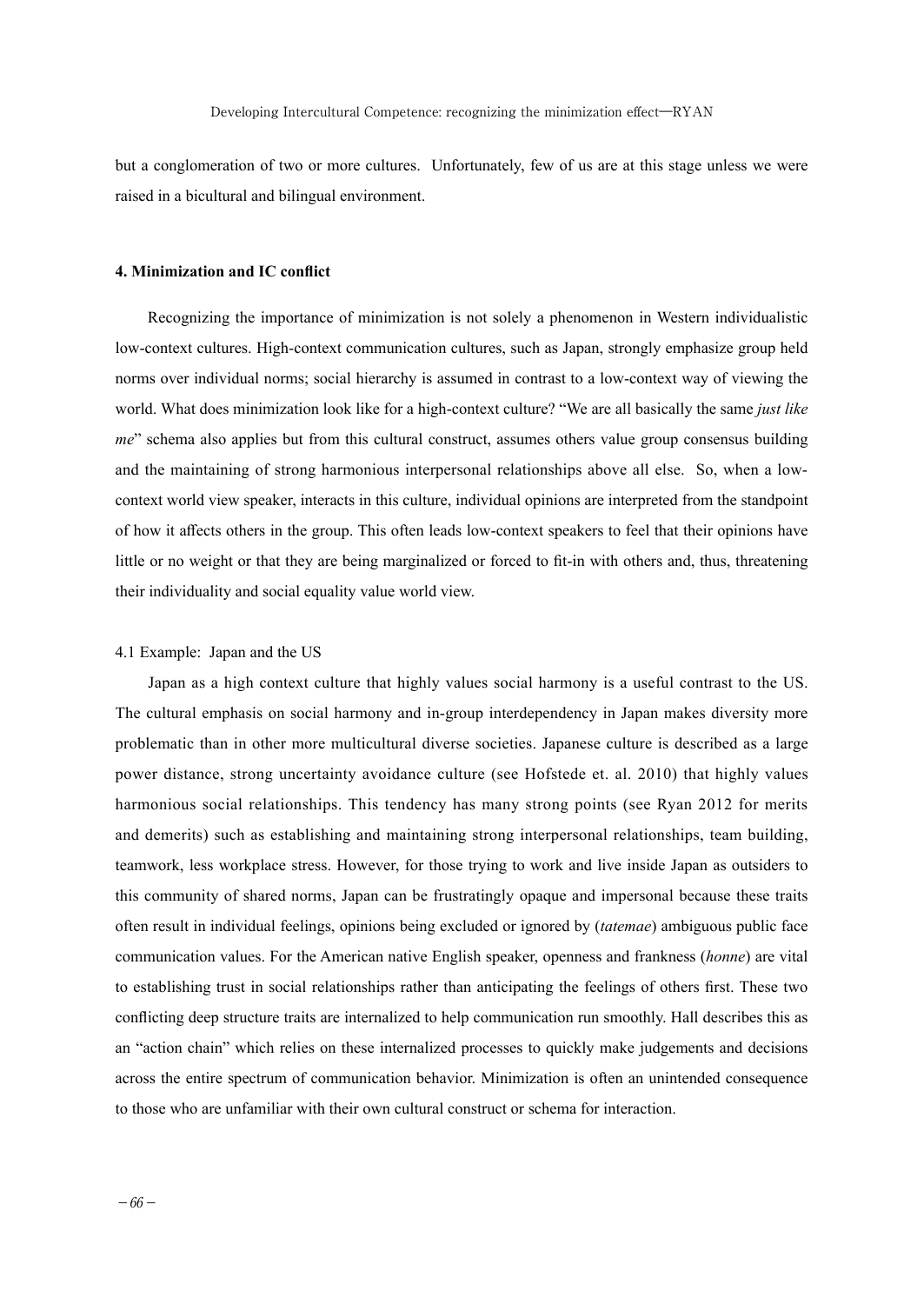but a conglomeration of two or more cultures. Unfortunately, few of us are at this stage unless we were raised in a bicultural and bilingual environment.

### **4. Minimization and IC conflict**

 Recognizing the importance of minimization is not solely a phenomenon in Western individualistic low-context cultures. High-context communication cultures, such as Japan, strongly emphasize group held norms over individual norms; social hierarchy is assumed in contrast to a low-context way of viewing the world. What does minimization look like for a high-context culture? "We are all basically the same *just like me*" schema also applies but from this cultural construct, assumes others value group consensus building and the maintaining of strong harmonious interpersonal relationships above all else. So, when a lowcontext world view speaker, interacts in this culture, individual opinions are interpreted from the standpoint of how it affects others in the group. This often leads low-context speakers to feel that their opinions have little or no weight or that they are being marginalized or forced to fit-in with others and, thus, threatening their individuality and social equality value world view.

#### 4.1 Example: Japan and the US

 Japan as a high context culture that highly values social harmony is a useful contrast to the US. The cultural emphasis on social harmony and in-group interdependency in Japan makes diversity more problematic than in other more multicultural diverse societies. Japanese culture is described as a large power distance, strong uncertainty avoidance culture (see Hofstede et. al. 2010) that highly values harmonious social relationships. This tendency has many strong points (see Ryan 2012 for merits and demerits) such as establishing and maintaining strong interpersonal relationships, team building, teamwork, less workplace stress. However, for those trying to work and live inside Japan as outsiders to this community of shared norms, Japan can be frustratingly opaque and impersonal because these traits often result in individual feelings, opinions being excluded or ignored by (*tatemae*) ambiguous public face communication values. For the American native English speaker, openness and frankness (*honne*) are vital to establishing trust in social relationships rather than anticipating the feelings of others first. These two conflicting deep structure traits are internalized to help communication run smoothly. Hall describes this as an "action chain" which relies on these internalized processes to quickly make judgements and decisions across the entire spectrum of communication behavior. Minimization is often an unintended consequence to those who are unfamiliar with their own cultural construct or schema for interaction.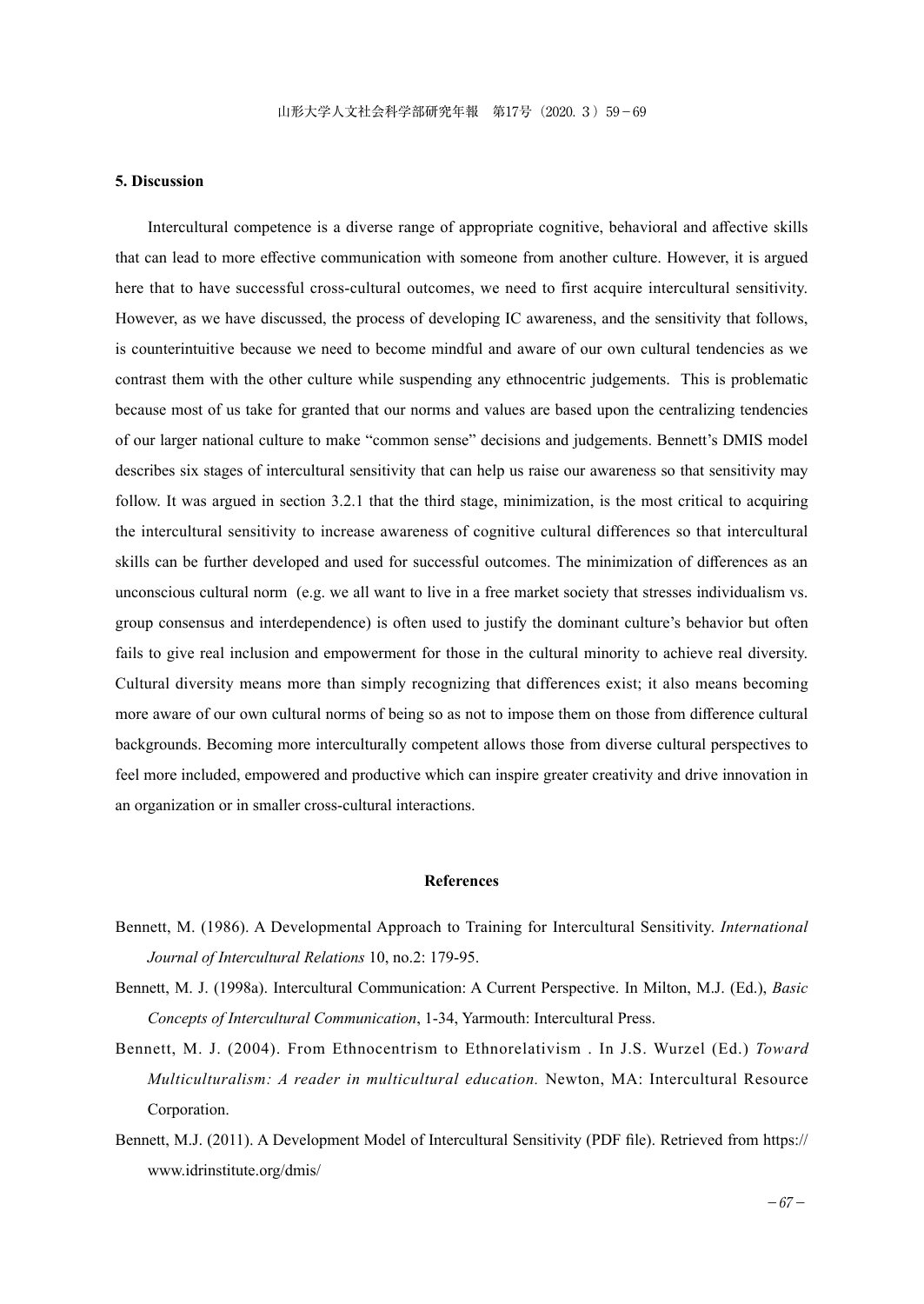## **5. Discussion**

 Intercultural competence is a diverse range of appropriate cognitive, behavioral and affective skills that can lead to more effective communication with someone from another culture. However, it is argued here that to have successful cross-cultural outcomes, we need to first acquire intercultural sensitivity. However, as we have discussed, the process of developing IC awareness, and the sensitivity that follows, is counterintuitive because we need to become mindful and aware of our own cultural tendencies as we contrast them with the other culture while suspending any ethnocentric judgements. This is problematic because most of us take for granted that our norms and values are based upon the centralizing tendencies of our larger national culture to make "common sense" decisions and judgements. Bennett's DMIS model describes six stages of intercultural sensitivity that can help us raise our awareness so that sensitivity may follow. It was argued in section 3.2.1 that the third stage, minimization, is the most critical to acquiring the intercultural sensitivity to increase awareness of cognitive cultural differences so that intercultural skills can be further developed and used for successful outcomes. The minimization of differences as an unconscious cultural norm (e.g. we all want to live in a free market society that stresses individualism vs. group consensus and interdependence) is often used to justify the dominant culture's behavior but often fails to give real inclusion and empowerment for those in the cultural minority to achieve real diversity. Cultural diversity means more than simply recognizing that differences exist; it also means becoming more aware of our own cultural norms of being so as not to impose them on those from difference cultural backgrounds. Becoming more interculturally competent allows those from diverse cultural perspectives to feel more included, empowered and productive which can inspire greater creativity and drive innovation in an organization or in smaller cross-cultural interactions.

### **References**

- Bennett, M. (1986). A Developmental Approach to Training for Intercultural Sensitivity. *International Journal of Intercultural Relations* 10, no.2: 179-95.
- Bennett, M. J. (1998a). Intercultural Communication: A Current Perspective. In Milton, M.J. (Ed.), *Basic Concepts of Intercultural Communication*, 1-34, Yarmouth: Intercultural Press.
- Bennett, M. J. (2004). From Ethnocentrism to Ethnorelativism . In J.S. Wurzel (Ed.) *Toward Multiculturalism: A reader in multicultural education.* Newton, MA: Intercultural Resource Corporation.
- Bennett, M.J. (2011). A Development Model of Intercultural Sensitivity (PDF file). Retrieved from https:// www.idrinstitute.org/dmis/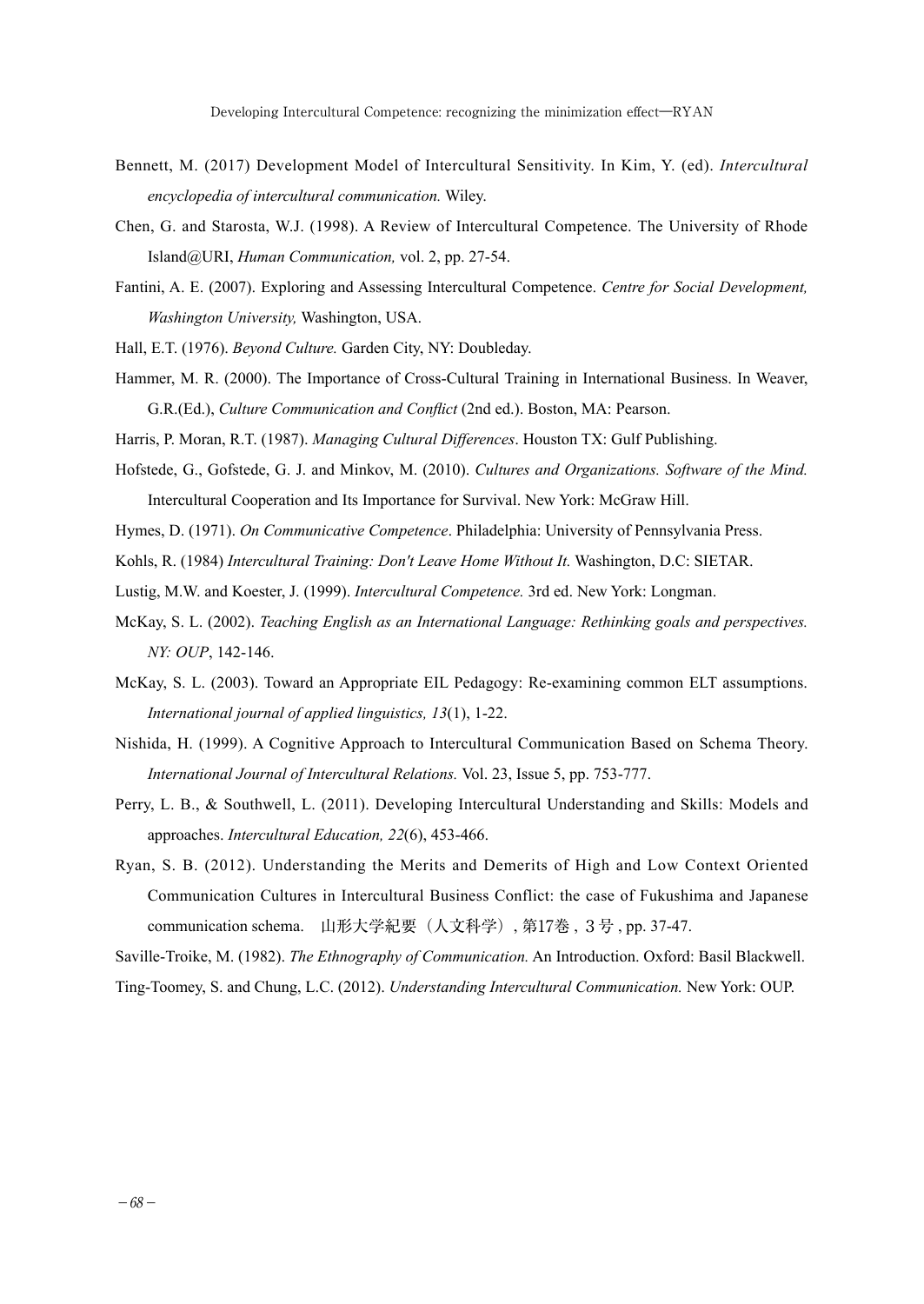- Bennett, M. (2017) Development Model of Intercultural Sensitivity. In Kim, Y. (ed). *Intercultural encyclopedia of intercultural communication.* Wiley.
- Chen, G. and Starosta, W.J. (1998). A Review of Intercultural Competence. The University of Rhode Island@URI, *Human Communication,* vol. 2, pp. 27-54.
- Fantini, A. E. (2007). Exploring and Assessing Intercultural Competence. *Centre for Social Development, Washington University,* Washington, USA.
- Hall, E.T. (1976). *Beyond Culture.* Garden City, NY: Doubleday.
- Hammer, M. R. (2000). The Importance of Cross-Cultural Training in International Business. In Weaver, G.R.(Ed.), *Culture Communication and Conflict* (2nd ed.). Boston, MA: Pearson.
- Harris, P. Moran, R.T. (1987). *Managing Cultural Differences*. Houston TX: Gulf Publishing.
- Hofstede, G., Gofstede, G. J. and Minkov, M. (2010). *Cultures and Organizations. Software of the Mind.*  Intercultural Cooperation and Its Importance for Survival. New York: McGraw Hill.
- Hymes, D. (1971). *On Communicative Competence*. Philadelphia: University of Pennsylvania Press.
- Kohls, R. (1984) *Intercultural Training: Don't Leave Home Without It.* Washington, D.C: SIETAR.
- Lustig, M.W. and Koester, J. (1999). *Intercultural Competence.* 3rd ed. New York: Longman.
- McKay, S. L. (2002). *Teaching English as an International Language: Rethinking goals and perspectives. NY: OUP*, 142-146.
- McKay, S. L. (2003). Toward an Appropriate EIL Pedagogy: Re‐examining common ELT assumptions. *International journal of applied linguistics, 13*(1), 1-22.
- Nishida, H. (1999). A Cognitive Approach to Intercultural Communication Based on Schema Theory. *International Journal of Intercultural Relations.* Vol. 23, Issue 5, pp. 753-777.
- Perry, L. B., & Southwell, L. (2011). Developing Intercultural Understanding and Skills: Models and approaches. *Intercultural Education, 22*(6), 453-466.
- Ryan, S. B. (2012). Understanding the Merits and Demerits of High and Low Context Oriented Communication Cultures in Intercultural Business Conflict: the case of Fukushima and Japanese communication schema. 山形大学紀要(人文科学), 第17巻 , 3号 , pp. 37-47.

Saville-Troike, M. (1982). *The Ethnography of Communication.* An Introduction. Oxford: Basil Blackwell.

Ting-Toomey, S. and Chung, L.C. (2012). *Understanding Intercultural Communication.* New York: OUP.